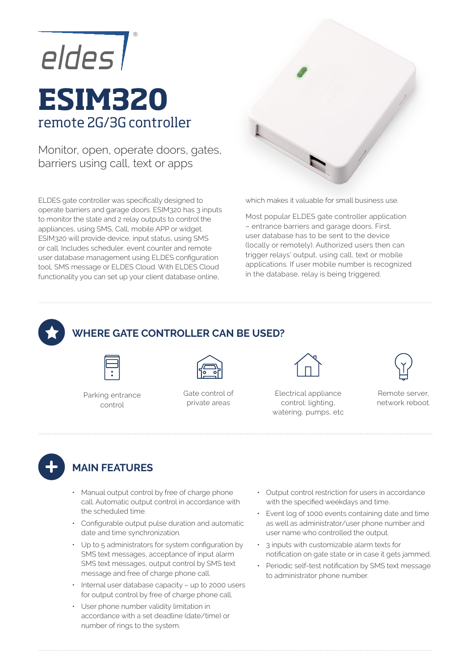

# **ESIM320**  remote 2G/3G controller

Monitor, open, operate doors, gates, barriers using call, text or apps

ELDES gate controller was specifically designed to operate barriers and garage doors. ESIM320 has 3 inputs to monitor the state and 2 relay outputs to control the appliances, using SMS, Call, mobile APP or widget. ESIM320 will provide device, input status, using SMS or call. Includes scheduler, event counter and remote user database management using ELDES configuration tool, SMS message or ELDES Cloud. With ELDES Cloud functionality you can set up your client database online,



which makes it valuable for small business use.

Most popular ELDES gate controller application – entrance barriers and garage doors. First, user database has to be sent to the device (locally or remotely). Authorized users then can trigger relays' output, using call, text or mobile applications. If user mobile number is recognized in the database, relay is being triggered.



#### **WHERE GATE CONTROLLER CAN BE USED?**



Parking entrance control

Gate control of private areas



Electrical appliance control: lighting, watering, pumps, etc



Remote server, network reboot.



## **MAIN FEATURES**

- Manual output control by free of charge phone call. Automatic output control in accordance with the scheduled time.
- Configurable output pulse duration and automatic date and time synchronization.
- Up to 5 administrators for system configuration by SMS text messages, acceptance of input alarm SMS text messages, output control by SMS text message and free of charge phone call.
- Internal user database capacity up to 2000 users for output control by free of charge phone call.
- User phone number validity limitation in accordance with a set deadline (date/time) or number of rings to the system.
- Output control restriction for users in accordance with the specified weekdays and time.
- Event log of 1000 events containing date and time as well as administrator/user phone number and user name who controlled the output.
- 3 inputs with customizable alarm texts for notification on gate state or in case it gets jammed.
- Periodic self-test notification by SMS text message to administrator phone number.